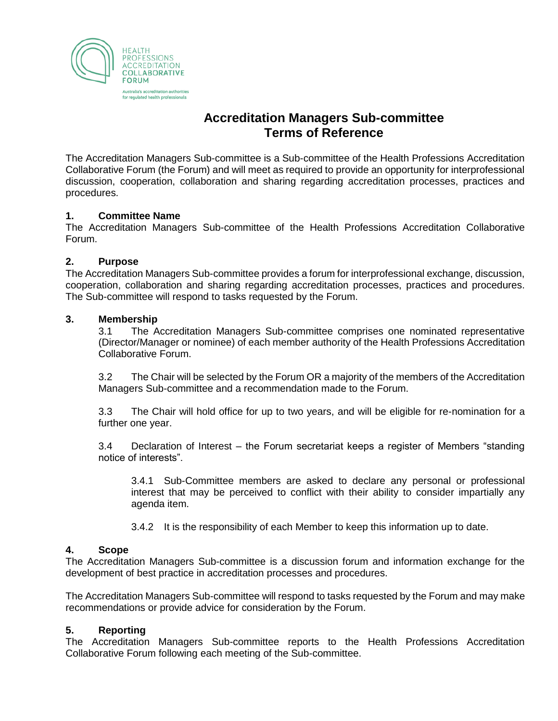

# **Accreditation Managers Sub-committee Terms of Reference**

The Accreditation Managers Sub-committee is a Sub-committee of the Health Professions Accreditation Collaborative Forum (the Forum) and will meet as required to provide an opportunity for interprofessional discussion, cooperation, collaboration and sharing regarding accreditation processes, practices and procedures.

### **1. Committee Name**

The Accreditation Managers Sub-committee of the Health Professions Accreditation Collaborative Forum.

### **2. Purpose**

The Accreditation Managers Sub-committee provides a forum for interprofessional exchange, discussion, cooperation, collaboration and sharing regarding accreditation processes, practices and procedures. The Sub-committee will respond to tasks requested by the Forum.

#### **3. Membership**

3.1 The Accreditation Managers Sub-committee comprises one nominated representative (Director/Manager or nominee) of each member authority of the Health Professions Accreditation Collaborative Forum.

3.2 The Chair will be selected by the Forum OR a majority of the members of the Accreditation Managers Sub-committee and a recommendation made to the Forum.

3.3 The Chair will hold office for up to two years, and will be eligible for re-nomination for a further one year.

3.4 Declaration of Interest – the Forum secretariat keeps a register of Members "standing notice of interests".

3.4.1 Sub-Committee members are asked to declare any personal or professional interest that may be perceived to conflict with their ability to consider impartially any agenda item.

3.4.2 It is the responsibility of each Member to keep this information up to date.

### **4. Scope**

The Accreditation Managers Sub-committee is a discussion forum and information exchange for the development of best practice in accreditation processes and procedures.

The Accreditation Managers Sub-committee will respond to tasks requested by the Forum and may make recommendations or provide advice for consideration by the Forum.

### **5. Reporting**

The Accreditation Managers Sub-committee reports to the Health Professions Accreditation Collaborative Forum following each meeting of the Sub-committee.